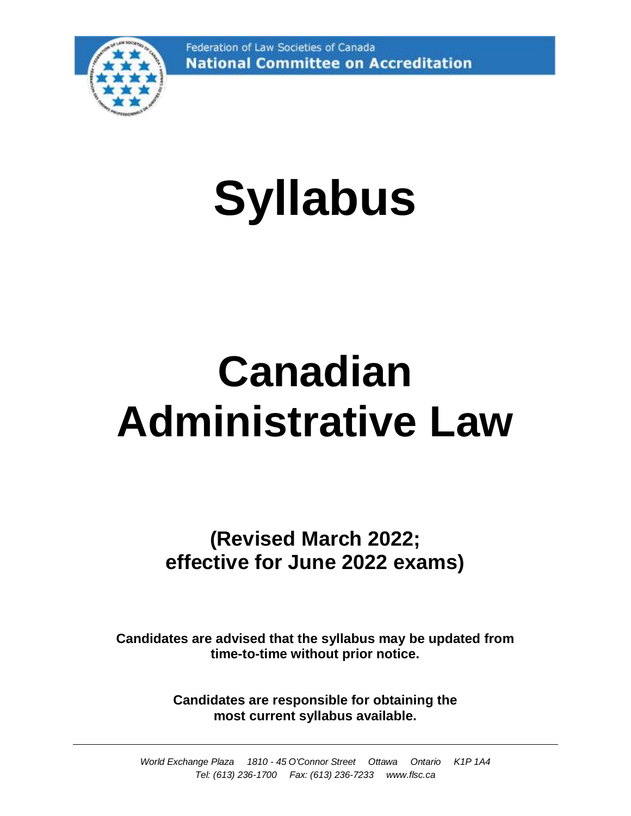

# **Syllabus**

# **Canadian Administrative Law**

**(Revised March 2022; effective for June 2022 exams)**

**Candidates are advised that the syllabus may be updated from time-to-time without prior notice.**

> **Candidates are responsible for obtaining the most current syllabus available.**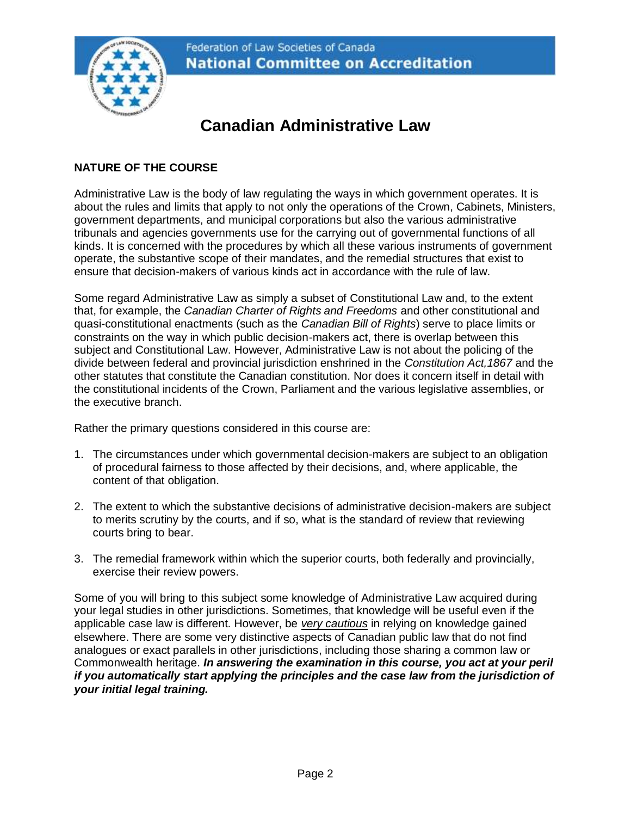

# **Canadian Administrative Law**

# **NATURE OF THE COURSE**

Administrative Law is the body of law regulating the ways in which government operates. It is about the rules and limits that apply to not only the operations of the Crown, Cabinets, Ministers, government departments, and municipal corporations but also the various administrative tribunals and agencies governments use for the carrying out of governmental functions of all kinds. It is concerned with the procedures by which all these various instruments of government operate, the substantive scope of their mandates, and the remedial structures that exist to ensure that decision-makers of various kinds act in accordance with the rule of law.

Some regard Administrative Law as simply a subset of Constitutional Law and, to the extent that, for example, the *Canadian Charter of Rights and Freedoms* and other constitutional and quasi-constitutional enactments (such as the *Canadian Bill of Rights*) serve to place limits or constraints on the way in which public decision-makers act, there is overlap between this subject and Constitutional Law. However, Administrative Law is not about the policing of the divide between federal and provincial jurisdiction enshrined in the *Constitution Act,1867* and the other statutes that constitute the Canadian constitution. Nor does it concern itself in detail with the constitutional incidents of the Crown, Parliament and the various legislative assemblies, or the executive branch.

Rather the primary questions considered in this course are:

- 1. The circumstances under which governmental decision-makers are subject to an obligation of procedural fairness to those affected by their decisions, and, where applicable, the content of that obligation.
- 2. The extent to which the substantive decisions of administrative decision-makers are subject to merits scrutiny by the courts, and if so, what is the standard of review that reviewing courts bring to bear.
- 3. The remedial framework within which the superior courts, both federally and provincially, exercise their review powers.

Some of you will bring to this subject some knowledge of Administrative Law acquired during your legal studies in other jurisdictions. Sometimes, that knowledge will be useful even if the applicable case law is different. However, be *very cautious* in relying on knowledge gained elsewhere. There are some very distinctive aspects of Canadian public law that do not find analogues or exact parallels in other jurisdictions, including those sharing a common law or Commonwealth heritage. *In answering the examination in this course, you act at your peril if you automatically start applying the principles and the case law from the jurisdiction of your initial legal training.*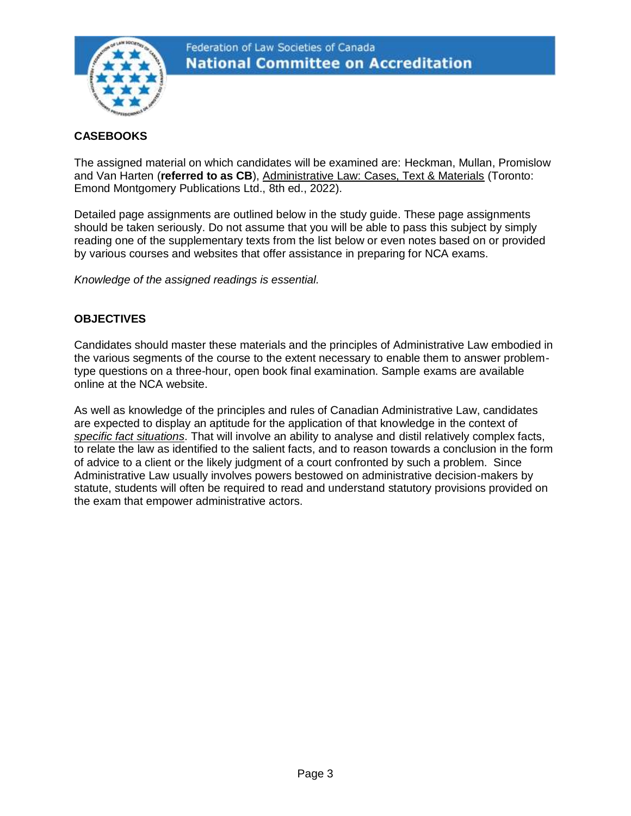

# **CASEBOOKS**

The assigned material on which candidates will be examined are: Heckman, Mullan, Promislow and Van Harten (**referred to as CB**), Administrative Law: Cases, Text & Materials (Toronto: Emond Montgomery Publications Ltd., 8th ed., 2022).

Detailed page assignments are outlined below in the study guide. These page assignments should be taken seriously. Do not assume that you will be able to pass this subject by simply reading one of the supplementary texts from the list below or even notes based on or provided by various courses and websites that offer assistance in preparing for NCA exams.

*Knowledge of the assigned readings is essential.*

#### **OBJECTIVES**

Candidates should master these materials and the principles of Administrative Law embodied in the various segments of the course to the extent necessary to enable them to answer problemtype questions on a three-hour, open book final examination. Sample exams are available online at the NCA website.

As well as knowledge of the principles and rules of Canadian Administrative Law, candidates are expected to display an aptitude for the application of that knowledge in the context of *specific fact situations*. That will involve an ability to analyse and distil relatively complex facts, to relate the law as identified to the salient facts, and to reason towards a conclusion in the form of advice to a client or the likely judgment of a court confronted by such a problem. Since Administrative Law usually involves powers bestowed on administrative decision-makers by statute, students will often be required to read and understand statutory provisions provided on the exam that empower administrative actors.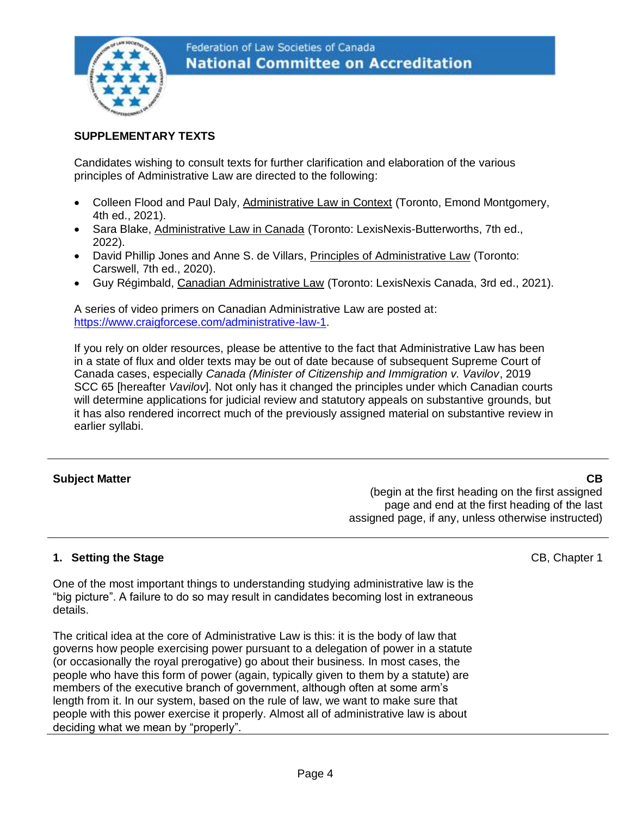

#### **SUPPLEMENTARY TEXTS**

Candidates wishing to consult texts for further clarification and elaboration of the various principles of Administrative Law are directed to the following:

- Colleen Flood and Paul Daly, Administrative Law in Context (Toronto, Emond Montgomery, 4th ed., 2021).
- Sara Blake, Administrative Law in Canada (Toronto: LexisNexis-Butterworths, 7th ed., 2022).
- David Phillip Jones and Anne S. de Villars, Principles of Administrative Law (Toronto: Carswell, 7th ed., 2020).
- Guy Régimbald, Canadian Administrative Law (Toronto: LexisNexis Canada, 3rd ed., 2021).

A series of video primers on Canadian Administrative Law are posted at: [https://www.craigforcese.com/administrative-law-1.](https://www.craigforcese.com/administrative-law-1)

If you rely on older resources, please be attentive to the fact that Administrative Law has been in a state of flux and older texts may be out of date because of subsequent Supreme Court of Canada cases, especially *Canada (Minister of Citizenship and Immigration v. Vavilov*, 2019 SCC 65 [hereafter *Vavilov*]. Not only has it changed the principles under which Canadian courts will determine applications for judicial review and statutory appeals on substantive grounds, but it has also rendered incorrect much of the previously assigned material on substantive review in earlier syllabi.

#### **Subject Matter CB**

(begin at the first heading on the first assigned page and end at the first heading of the last assigned page, if any, unless otherwise instructed)

# **1. Setting the Stage**

One of the most important things to understanding studying administrative law is the "big picture". A failure to do so may result in candidates becoming lost in extraneous details.

The critical idea at the core of Administrative Law is this: it is the body of law that governs how people exercising power pursuant to a delegation of power in a statute (or occasionally the royal prerogative) go about their business. In most cases, the people who have this form of power (again, typically given to them by a statute) are members of the executive branch of government, although often at some arm's length from it. In our system, based on the rule of law, we want to make sure that people with this power exercise it properly. Almost all of administrative law is about deciding what we mean by "properly".

CB, Chapter 1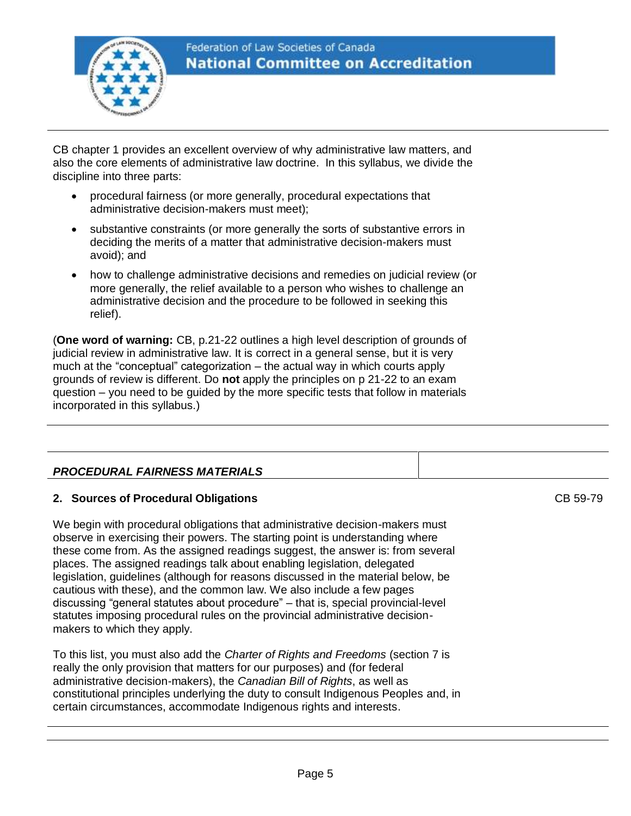

# Federation of Law Societies of Canada **National Committee on Accreditation**

CB chapter 1 provides an excellent overview of why administrative law matters, and also the core elements of administrative law doctrine. In this syllabus, we divide the discipline into three parts:

- procedural fairness (or more generally, procedural expectations that administrative decision-makers must meet);
- substantive constraints (or more generally the sorts of substantive errors in deciding the merits of a matter that administrative decision-makers must avoid); and
- how to challenge administrative decisions and remedies on judicial review (or more generally, the relief available to a person who wishes to challenge an administrative decision and the procedure to be followed in seeking this relief).

(**One word of warning:** CB, p.21-22 outlines a high level description of grounds of judicial review in administrative law. It is correct in a general sense, but it is very much at the "conceptual" categorization – the actual way in which courts apply grounds of review is different. Do **not** apply the principles on p 21-22 to an exam question – you need to be guided by the more specific tests that follow in materials incorporated in this syllabus.)

# *PROCEDURAL FAIRNESS MATERIALS*

# **2. Sources of Procedural Obligations**

We begin with procedural obligations that administrative decision-makers must observe in exercising their powers. The starting point is understanding where these come from. As the assigned readings suggest, the answer is: from several places. The assigned readings talk about enabling legislation, delegated legislation, guidelines (although for reasons discussed in the material below, be cautious with these), and the common law. We also include a few pages discussing "general statutes about procedure" – that is, special provincial-level statutes imposing procedural rules on the provincial administrative decisionmakers to which they apply.

To this list, you must also add the *Charter of Rights and Freedoms* (section 7 is really the only provision that matters for our purposes) and (for federal administrative decision-makers), the *Canadian Bill of Rights*, as well as constitutional principles underlying the duty to consult Indigenous Peoples and, in certain circumstances, accommodate Indigenous rights and interests.

CB 59-79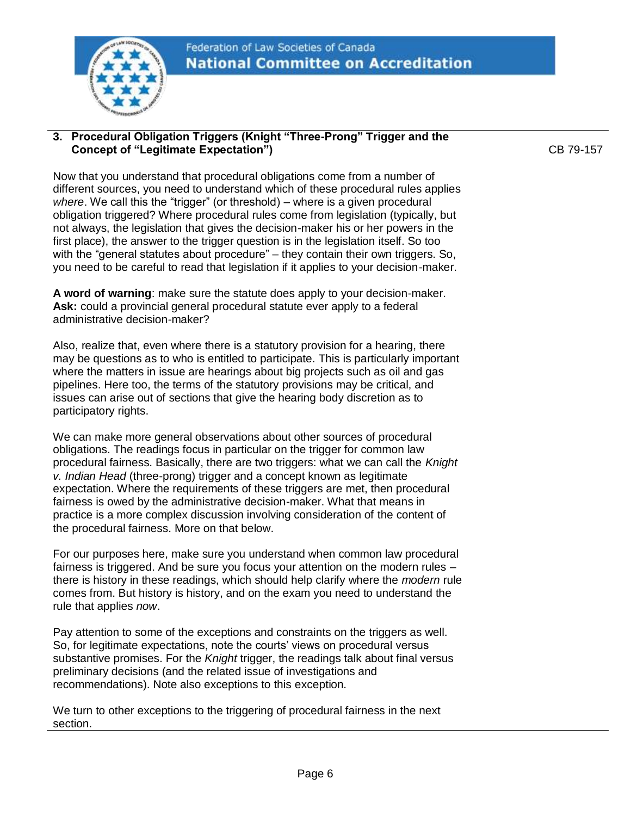

#### **3. Procedural Obligation Triggers (Knight "Three-Prong" Trigger and the Concept of "Legitimate Expectation")**

Now that you understand that procedural obligations come from a number of different sources, you need to understand which of these procedural rules applies *where*. We call this the "trigger" (or threshold) – where is a given procedural obligation triggered? Where procedural rules come from legislation (typically, but not always, the legislation that gives the decision-maker his or her powers in the first place), the answer to the trigger question is in the legislation itself. So too with the "general statutes about procedure" – they contain their own triggers. So, you need to be careful to read that legislation if it applies to your decision-maker.

**A word of warning**: make sure the statute does apply to your decision-maker. **Ask:** could a provincial general procedural statute ever apply to a federal administrative decision-maker?

Also, realize that, even where there is a statutory provision for a hearing, there may be questions as to who is entitled to participate. This is particularly important where the matters in issue are hearings about big projects such as oil and gas pipelines. Here too, the terms of the statutory provisions may be critical, and issues can arise out of sections that give the hearing body discretion as to participatory rights.

We can make more general observations about other sources of procedural obligations. The readings focus in particular on the trigger for common law procedural fairness. Basically, there are two triggers: what we can call the *Knight v. Indian Head* (three-prong) trigger and a concept known as legitimate expectation. Where the requirements of these triggers are met, then procedural fairness is owed by the administrative decision-maker. What that means in practice is a more complex discussion involving consideration of the content of the procedural fairness. More on that below.

For our purposes here, make sure you understand when common law procedural fairness is triggered. And be sure you focus your attention on the modern rules – there is history in these readings, which should help clarify where the *modern* rule comes from. But history is history, and on the exam you need to understand the rule that applies *now*.

Pay attention to some of the exceptions and constraints on the triggers as well. So, for legitimate expectations, note the courts' views on procedural versus substantive promises. For the *Knight* trigger, the readings talk about final versus preliminary decisions (and the related issue of investigations and recommendations). Note also exceptions to this exception.

We turn to other exceptions to the triggering of procedural fairness in the next section.

CB 79-157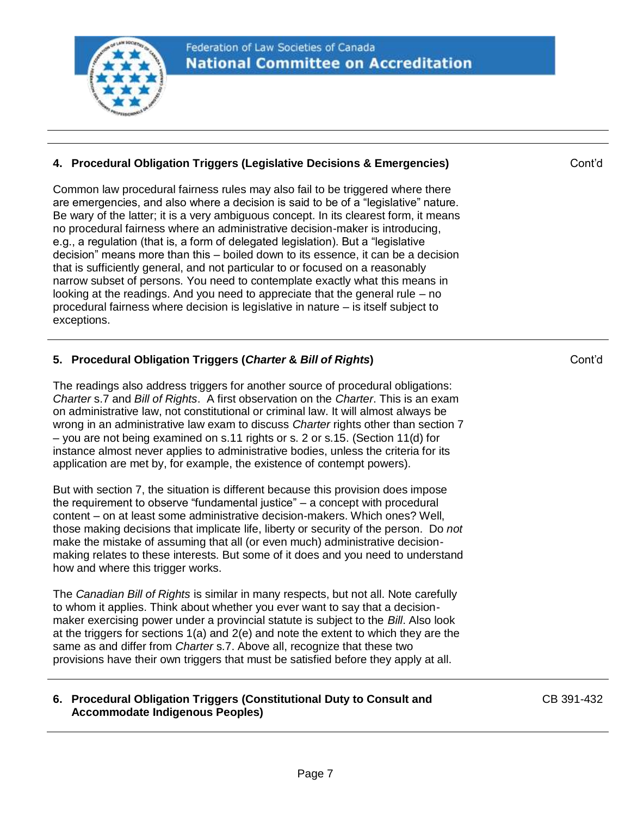

#### **4. Procedural Obligation Triggers (Legislative Decisions & Emergencies)**

Common law procedural fairness rules may also fail to be triggered where there are emergencies, and also where a decision is said to be of a "legislative" nature. Be wary of the latter; it is a very ambiguous concept. In its clearest form, it means no procedural fairness where an administrative decision-maker is introducing, e.g., a regulation (that is, a form of delegated legislation). But a "legislative decision" means more than this – boiled down to its essence, it can be a decision that is sufficiently general, and not particular to or focused on a reasonably narrow subset of persons. You need to contemplate exactly what this means in looking at the readings. And you need to appreciate that the general rule – no procedural fairness where decision is legislative in nature – is itself subject to exceptions.

# **5. Procedural Obligation Triggers (***Charter* **&** *Bill of Rights***)**

The readings also address triggers for another source of procedural obligations: *Charter* s.7 and *Bill of Rights*. A first observation on the *Charter*. This is an exam on administrative law, not constitutional or criminal law. It will almost always be wrong in an administrative law exam to discuss *Charter* rights other than section 7 – you are not being examined on s.11 rights or s. 2 or s.15. (Section 11(d) for instance almost never applies to administrative bodies, unless the criteria for its application are met by, for example, the existence of contempt powers).

But with section 7, the situation is different because this provision does impose the requirement to observe "fundamental justice" – a concept with procedural content – on at least some administrative decision-makers. Which ones? Well, those making decisions that implicate life, liberty or security of the person. Do *not* make the mistake of assuming that all (or even much) administrative decisionmaking relates to these interests. But some of it does and you need to understand how and where this trigger works.

The *Canadian Bill of Rights* is similar in many respects, but not all. Note carefully to whom it applies. Think about whether you ever want to say that a decisionmaker exercising power under a provincial statute is subject to the *Bill*. Also look at the triggers for sections  $1(a)$  and  $2(e)$  and note the extent to which they are the same as and differ from *Charter* s.7. Above all, recognize that these two provisions have their own triggers that must be satisfied before they apply at all.

#### **6. Procedural Obligation Triggers (Constitutional Duty to Consult and Accommodate Indigenous Peoples)**

CB 391-432

Cont'd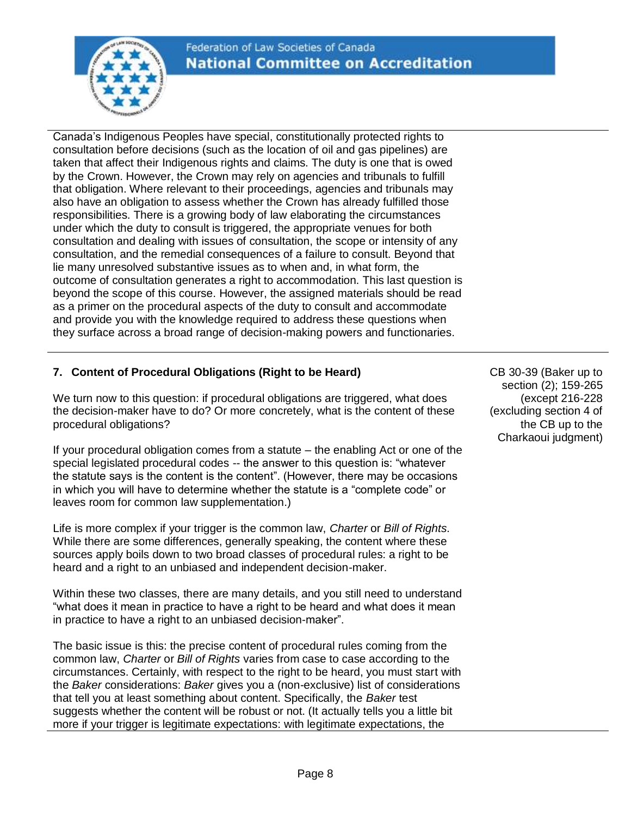Canada's Indigenous Peoples have special, constitutionally protected rights to consultation before decisions (such as the location of oil and gas pipelines) are taken that affect their Indigenous rights and claims. The duty is one that is owed by the Crown. However, the Crown may rely on agencies and tribunals to fulfill that obligation. Where relevant to their proceedings, agencies and tribunals may also have an obligation to assess whether the Crown has already fulfilled those responsibilities. There is a growing body of law elaborating the circumstances under which the duty to consult is triggered, the appropriate venues for both consultation and dealing with issues of consultation, the scope or intensity of any consultation, and the remedial consequences of a failure to consult. Beyond that lie many unresolved substantive issues as to when and, in what form, the outcome of consultation generates a right to accommodation. This last question is beyond the scope of this course. However, the assigned materials should be read as a primer on the procedural aspects of the duty to consult and accommodate and provide you with the knowledge required to address these questions when they surface across a broad range of decision-making powers and functionaries.

# **7. Content of Procedural Obligations (Right to be Heard)**

We turn now to this question: if procedural obligations are triggered, what does the decision-maker have to do? Or more concretely, what is the content of these procedural obligations?

If your procedural obligation comes from a statute – the enabling Act or one of the special legislated procedural codes -- the answer to this question is: "whatever the statute says is the content is the content". (However, there may be occasions in which you will have to determine whether the statute is a "complete code" or leaves room for common law supplementation.)

Life is more complex if your trigger is the common law, *Charter* or *Bill of Rights*. While there are some differences, generally speaking, the content where these sources apply boils down to two broad classes of procedural rules: a right to be heard and a right to an unbiased and independent decision-maker.

Within these two classes, there are many details, and you still need to understand "what does it mean in practice to have a right to be heard and what does it mean in practice to have a right to an unbiased decision-maker".

The basic issue is this: the precise content of procedural rules coming from the common law, *Charter* or *Bill of Rights* varies from case to case according to the circumstances. Certainly, with respect to the right to be heard, you must start with the *Baker* considerations: *Baker* gives you a (non-exclusive) list of considerations that tell you at least something about content. Specifically, the *Baker* test suggests whether the content will be robust or not. (It actually tells you a little bit more if your trigger is legitimate expectations: with legitimate expectations, the

CB 30-39 (Baker up to section (2); 159-265 (except 216-228 (excluding section 4 of the CB up to the Charkaoui judgment)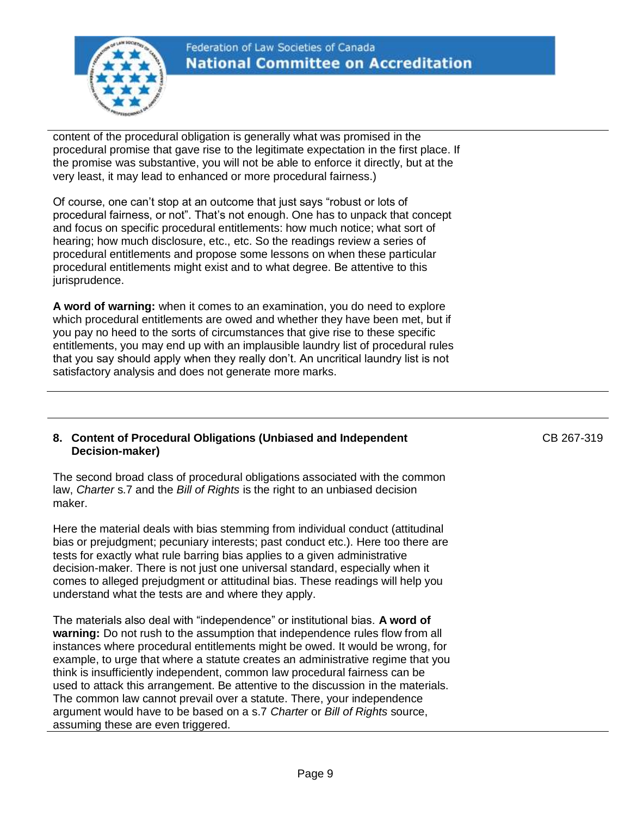

content of the procedural obligation is generally what was promised in the procedural promise that gave rise to the legitimate expectation in the first place. If the promise was substantive, you will not be able to enforce it directly, but at the very least, it may lead to enhanced or more procedural fairness.)

Of course, one can't stop at an outcome that just says "robust or lots of procedural fairness, or not". That's not enough. One has to unpack that concept and focus on specific procedural entitlements: how much notice; what sort of hearing; how much disclosure, etc., etc. So the readings review a series of procedural entitlements and propose some lessons on when these particular procedural entitlements might exist and to what degree. Be attentive to this jurisprudence.

**A word of warning:** when it comes to an examination, you do need to explore which procedural entitlements are owed and whether they have been met, but if you pay no heed to the sorts of circumstances that give rise to these specific entitlements, you may end up with an implausible laundry list of procedural rules that you say should apply when they really don't. An uncritical laundry list is not satisfactory analysis and does not generate more marks.

#### **8. Content of Procedural Obligations (Unbiased and Independent Decision-maker)**

The second broad class of procedural obligations associated with the common law, *Charter* s.7 and the *Bill of Rights* is the right to an unbiased decision maker.

Here the material deals with bias stemming from individual conduct (attitudinal bias or prejudgment; pecuniary interests; past conduct etc.). Here too there are tests for exactly what rule barring bias applies to a given administrative decision-maker. There is not just one universal standard, especially when it comes to alleged prejudgment or attitudinal bias. These readings will help you understand what the tests are and where they apply.

The materials also deal with "independence" or institutional bias. **A word of warning:** Do not rush to the assumption that independence rules flow from all instances where procedural entitlements might be owed. It would be wrong, for example, to urge that where a statute creates an administrative regime that you think is insufficiently independent, common law procedural fairness can be used to attack this arrangement. Be attentive to the discussion in the materials. The common law cannot prevail over a statute. There, your independence argument would have to be based on a s.7 *Charter* or *Bill of Rights* source, assuming these are even triggered.

CB 267-319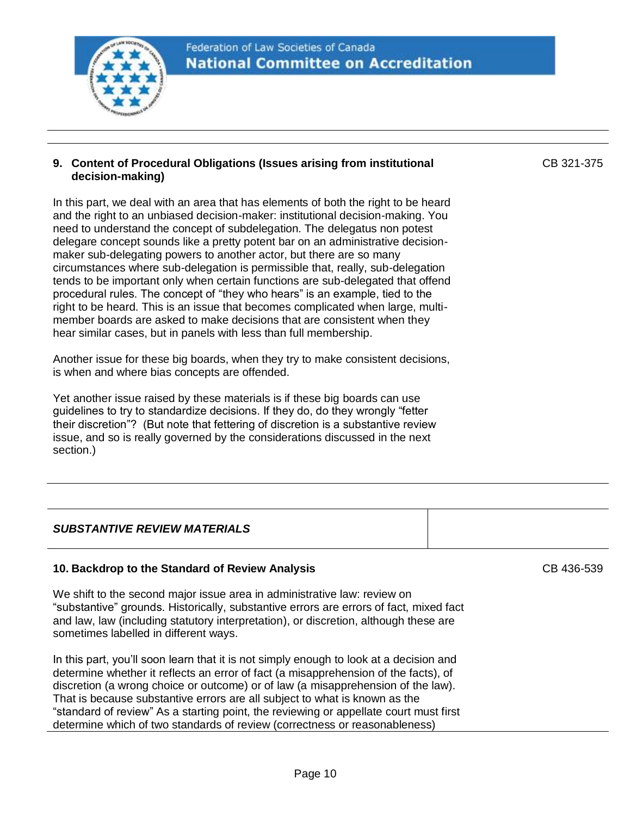

#### **9. Content of Procedural Obligations (Issues arising from institutional decision-making)**

In this part, we deal with an area that has elements of both the right to be heard and the right to an unbiased decision-maker: institutional decision-making. You need to understand the concept of subdelegation. The delegatus non potest delegare concept sounds like a pretty potent bar on an administrative decisionmaker sub-delegating powers to another actor, but there are so many circumstances where sub-delegation is permissible that, really, sub-delegation tends to be important only when certain functions are sub-delegated that offend procedural rules. The concept of "they who hears" is an example, tied to the right to be heard. This is an issue that becomes complicated when large, multimember boards are asked to make decisions that are consistent when they hear similar cases, but in panels with less than full membership.

Another issue for these big boards, when they try to make consistent decisions, is when and where bias concepts are offended.

Yet another issue raised by these materials is if these big boards can use guidelines to try to standardize decisions. If they do, do they wrongly "fetter their discretion"? (But note that fettering of discretion is a substantive review issue, and so is really governed by the considerations discussed in the next section.)

# *SUBSTANTIVE REVIEW MATERIALS*

# **10. Backdrop to the Standard of Review Analysis**

We shift to the second major issue area in administrative law: review on "substantive" grounds. Historically, substantive errors are errors of fact, mixed fact and law, law (including statutory interpretation), or discretion, although these are sometimes labelled in different ways.

In this part, you'll soon learn that it is not simply enough to look at a decision and determine whether it reflects an error of fact (a misapprehension of the facts), of discretion (a wrong choice or outcome) or of law (a misapprehension of the law). That is because substantive errors are all subject to what is known as the "standard of review" As a starting point, the reviewing or appellate court must first determine which of two standards of review (correctness or reasonableness)

CB 436-539

CB 321-375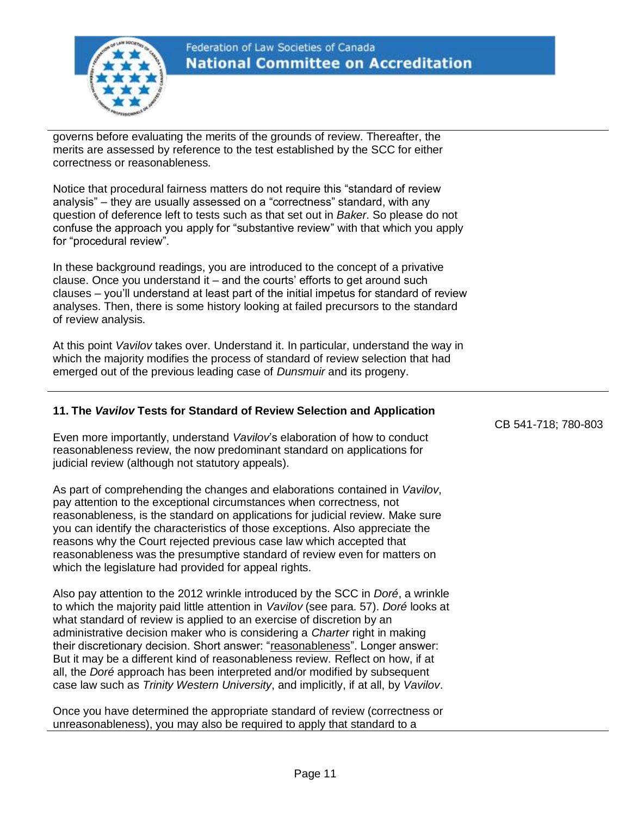

# Federation of Law Societies of Canada **National Committee on Accreditation**

governs before evaluating the merits of the grounds of review. Thereafter, the merits are assessed by reference to the test established by the SCC for either correctness or reasonableness.

Notice that procedural fairness matters do not require this "standard of review analysis" – they are usually assessed on a "correctness" standard, with any question of deference left to tests such as that set out in *Baker*. So please do not confuse the approach you apply for "substantive review" with that which you apply for "procedural review".

In these background readings, you are introduced to the concept of a privative clause. Once you understand it – and the courts' efforts to get around such clauses – you'll understand at least part of the initial impetus for standard of review analyses. Then, there is some history looking at failed precursors to the standard of review analysis.

At this point *Vavilov* takes over. Understand it. In particular, understand the way in which the majority modifies the process of standard of review selection that had emerged out of the previous leading case of *Dunsmuir* and its progeny.

# **11. The** *Vavilov* **Tests for Standard of Review Selection and Application**

Even more importantly, understand *Vavilov*'s elaboration of how to conduct reasonableness review, the now predominant standard on applications for judicial review (although not statutory appeals).

As part of comprehending the changes and elaborations contained in *Vavilov*, pay attention to the exceptional circumstances when correctness, not reasonableness, is the standard on applications for judicial review. Make sure you can identify the characteristics of those exceptions. Also appreciate the reasons why the Court rejected previous case law which accepted that reasonableness was the presumptive standard of review even for matters on which the legislature had provided for appeal rights.

Also pay attention to the 2012 wrinkle introduced by the SCC in *Doré*, a wrinkle to which the majority paid little attention in *Vavilov* (see para. 57). *Doré* looks at what standard of review is applied to an exercise of discretion by an administrative decision maker who is considering a *Charter* right in making their discretionary decision. Short answer: "reasonableness". Longer answer: But it may be a different kind of reasonableness review. Reflect on how, if at all, the *Doré* approach has been interpreted and/or modified by subsequent case law such as *Trinity Western University*, and implicitly, if at all, by *Vavilov*.

Once you have determined the appropriate standard of review (correctness or unreasonableness), you may also be required to apply that standard to a

CB 541-718; 780-803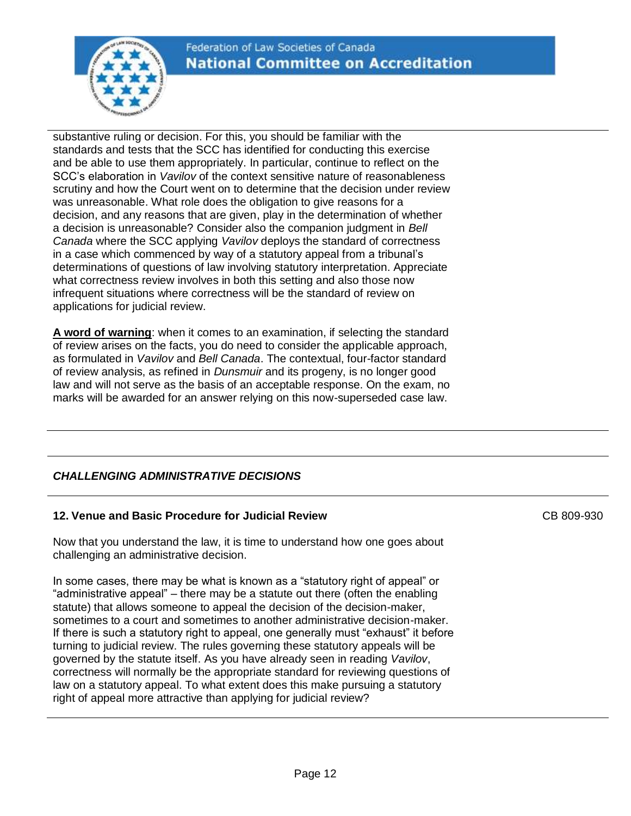

substantive ruling or decision. For this, you should be familiar with the standards and tests that the SCC has identified for conducting this exercise and be able to use them appropriately. In particular, continue to reflect on the SCC's elaboration in *Vavilov* of the context sensitive nature of reasonableness scrutiny and how the Court went on to determine that the decision under review was unreasonable. What role does the obligation to give reasons for a decision, and any reasons that are given, play in the determination of whether a decision is unreasonable? Consider also the companion judgment in *Bell Canada* where the SCC applying *Vavilov* deploys the standard of correctness in a case which commenced by way of a statutory appeal from a tribunal's determinations of questions of law involving statutory interpretation. Appreciate what correctness review involves in both this setting and also those now infrequent situations where correctness will be the standard of review on applications for judicial review.

**A word of warning**: when it comes to an examination, if selecting the standard of review arises on the facts, you do need to consider the applicable approach, as formulated in *Vavilov* and *Bell Canada*. The contextual, four-factor standard of review analysis, as refined in *Dunsmuir* and its progeny, is no longer good law and will not serve as the basis of an acceptable response. On the exam, no marks will be awarded for an answer relying on this now-superseded case law.

# *CHALLENGING ADMINISTRATIVE DECISIONS*

# **12. Venue and Basic Procedure for Judicial Review**

Now that you understand the law, it is time to understand how one goes about challenging an administrative decision.

In some cases, there may be what is known as a "statutory right of appeal" or "administrative appeal" – there may be a statute out there (often the enabling statute) that allows someone to appeal the decision of the decision-maker, sometimes to a court and sometimes to another administrative decision-maker. If there is such a statutory right to appeal, one generally must "exhaust" it before turning to judicial review. The rules governing these statutory appeals will be governed by the statute itself. As you have already seen in reading *Vavilov*, correctness will normally be the appropriate standard for reviewing questions of law on a statutory appeal. To what extent does this make pursuing a statutory right of appeal more attractive than applying for judicial review?

CB 809-930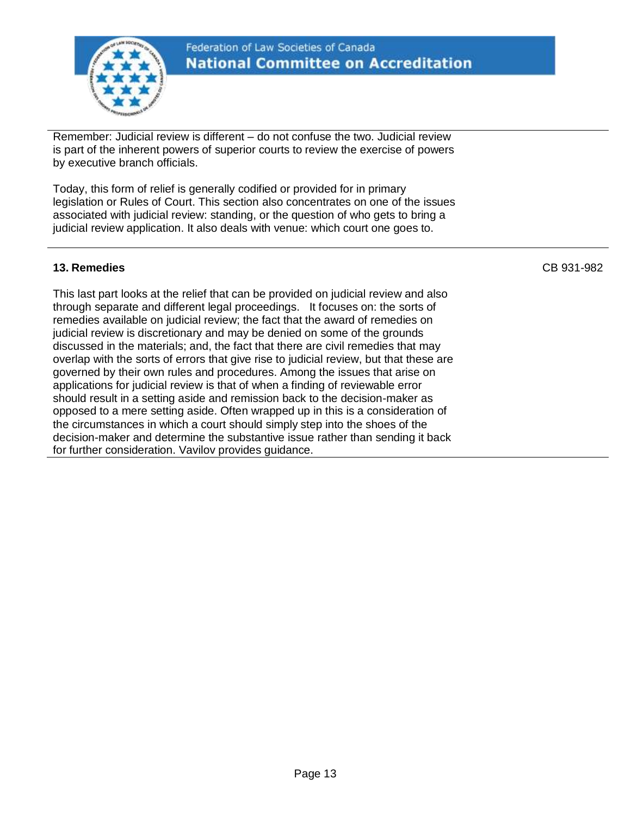

# Federation of Law Societies of Canada **National Committee on Accreditation**

Remember: Judicial review is different – do not confuse the two. Judicial review is part of the inherent powers of superior courts to review the exercise of powers by executive branch officials.

Today, this form of relief is generally codified or provided for in primary legislation or Rules of Court. This section also concentrates on one of the issues associated with judicial review: standing, or the question of who gets to bring a judicial review application. It also deals with venue: which court one goes to.

# **13. Remedies**

This last part looks at the relief that can be provided on judicial review and also through separate and different legal proceedings. It focuses on: the sorts of remedies available on judicial review; the fact that the award of remedies on judicial review is discretionary and may be denied on some of the grounds discussed in the materials; and, the fact that there are civil remedies that may overlap with the sorts of errors that give rise to judicial review, but that these are governed by their own rules and procedures. Among the issues that arise on applications for judicial review is that of when a finding of reviewable error should result in a setting aside and remission back to the decision-maker as opposed to a mere setting aside. Often wrapped up in this is a consideration of the circumstances in which a court should simply step into the shoes of the decision-maker and determine the substantive issue rather than sending it back for further consideration. Vavilov provides guidance.

CB 931-982